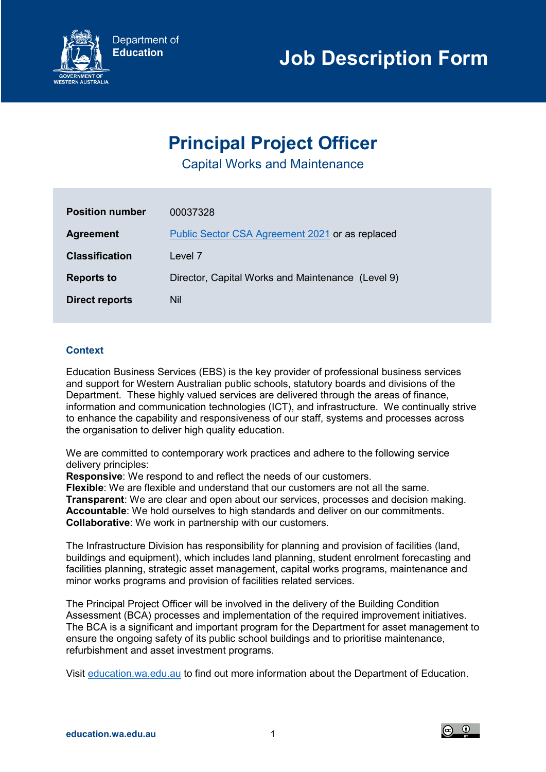

# **Principal Project Officer**

Capital Works and Maintenance

| <b>Position number</b> | 00037328                                          |
|------------------------|---------------------------------------------------|
| <b>Agreement</b>       | Public Sector CSA Agreement 2021 or as replaced   |
| <b>Classification</b>  | Level 7                                           |
| <b>Reports to</b>      | Director, Capital Works and Maintenance (Level 9) |
| <b>Direct reports</b>  | Nil                                               |
|                        |                                                   |

## **Context**

Education Business Services (EBS) is the key provider of professional business services and support for Western Australian public schools, statutory boards and divisions of the Department. These highly valued services are delivered through the areas of finance, information and communication technologies (ICT), and infrastructure. We continually strive to enhance the capability and responsiveness of our staff, systems and processes across the organisation to deliver high quality education.

We are committed to contemporary work practices and adhere to the following service delivery principles:

**Responsive**: We respond to and reflect the needs of our customers.

**Flexible**: We are flexible and understand that our customers are not all the same. **Transparent**: We are clear and open about our services, processes and decision making. **Accountable**: We hold ourselves to high standards and deliver on our commitments. **Collaborative**: We work in partnership with our customers.

The Infrastructure Division has responsibility for planning and provision of facilities (land, buildings and equipment), which includes land planning, student enrolment forecasting and facilities planning, strategic asset management, capital works programs, maintenance and minor works programs and provision of facilities related services.

The Principal Project Officer will be involved in the delivery of the Building Condition Assessment (BCA) processes and implementation of the required improvement initiatives. The BCA is a significant and important program for the Department for asset management to ensure the ongoing safety of its public school buildings and to prioritise maintenance, refurbishment and asset investment programs.

Visit [education.wa.edu.au](https://www.education.wa.edu.au/) to find out more information about the Department of Education.